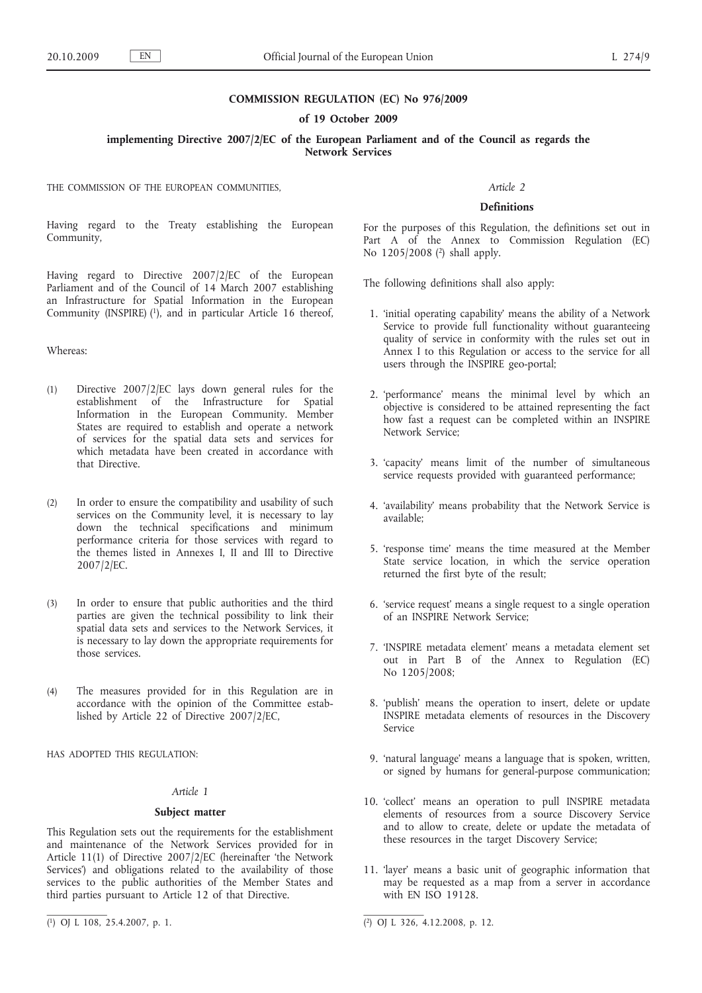# **COMMISSION REGULATION (EC) No 976/2009**

#### **of 19 October 2009**

# **implementing Directive 2007/2/EC of the European Parliament and of the Council as regards the Network Services**

THE COMMISSION OF THE EUROPEAN COMMUNITIES,

Having regard to the Treaty establishing the European Community,

Having regard to Directive 2007/2/EC of the European Parliament and of the Council of 14 March 2007 establishing an Infrastructure for Spatial Information in the European Community (INSPIRE)  $(1)$ , and in particular Article 16 thereof,

### Whereas:

- (1) Directive 2007/2/EC lays down general rules for the establishment of the Infrastructure for Spatial Information in the European Community. Member States are required to establish and operate a network of services for the spatial data sets and services for which metadata have been created in accordance with that Directive.
- (2) In order to ensure the compatibility and usability of such services on the Community level, it is necessary to lay down the technical specifications and minimum performance criteria for those services with regard to the themes listed in Annexes I, II and III to Directive 2007/2/EC.
- (3) In order to ensure that public authorities and the third parties are given the technical possibility to link their spatial data sets and services to the Network Services, it is necessary to lay down the appropriate requirements for those services.
- (4) The measures provided for in this Regulation are in accordance with the opinion of the Committee established by Article 22 of Directive 2007/2/EC,

HAS ADOPTED THIS REGULATION:

# *Article 1*

#### **Subject matter**

This Regulation sets out the requirements for the establishment and maintenance of the Network Services provided for in Article 11(1) of Directive 2007/2/EC (hereinafter 'the Network Services') and obligations related to the availability of those services to the public authorities of the Member States and third parties pursuant to Article 12 of that Directive.

# *Article 2*

### **Definitions**

For the purposes of this Regulation, the definitions set out in Part A of the Annex to Commission Regulation (EC) No 1205/2008 (2) shall apply.

The following definitions shall also apply:

- 1. 'initial operating capability' means the ability of a Network Service to provide full functionality without guaranteeing quality of service in conformity with the rules set out in Annex I to this Regulation or access to the service for all users through the INSPIRE geo-portal;
- 2. 'performance' means the minimal level by which an objective is considered to be attained representing the fact how fast a request can be completed within an INSPIRE Network Service;
- 3. 'capacity' means limit of the number of simultaneous service requests provided with guaranteed performance;
- 4. 'availability' means probability that the Network Service is available;
- 5. 'response time' means the time measured at the Member State service location, in which the service operation returned the first byte of the result;
- 6. 'service request' means a single request to a single operation of an INSPIRE Network Service;
- 7. 'INSPIRE metadata element' means a metadata element set out in Part B of the Annex to Regulation (EC) No 1205/2008;
- 8. 'publish' means the operation to insert, delete or update INSPIRE metadata elements of resources in the Discovery Service
- 9. 'natural language' means a language that is spoken, written, or signed by humans for general-purpose communication;
- 10. 'collect' means an operation to pull INSPIRE metadata elements of resources from a source Discovery Service and to allow to create, delete or update the metadata of these resources in the target Discovery Service;
- 11. 'layer' means a basic unit of geographic information that may be requested as a map from a server in accordance with EN ISO 19128.

<sup>(1)</sup> OJ L 108, 25.4.2007, p. 1.

 $\overline{(^2)}$  OJ L 326, 4.12.2008, p. 12.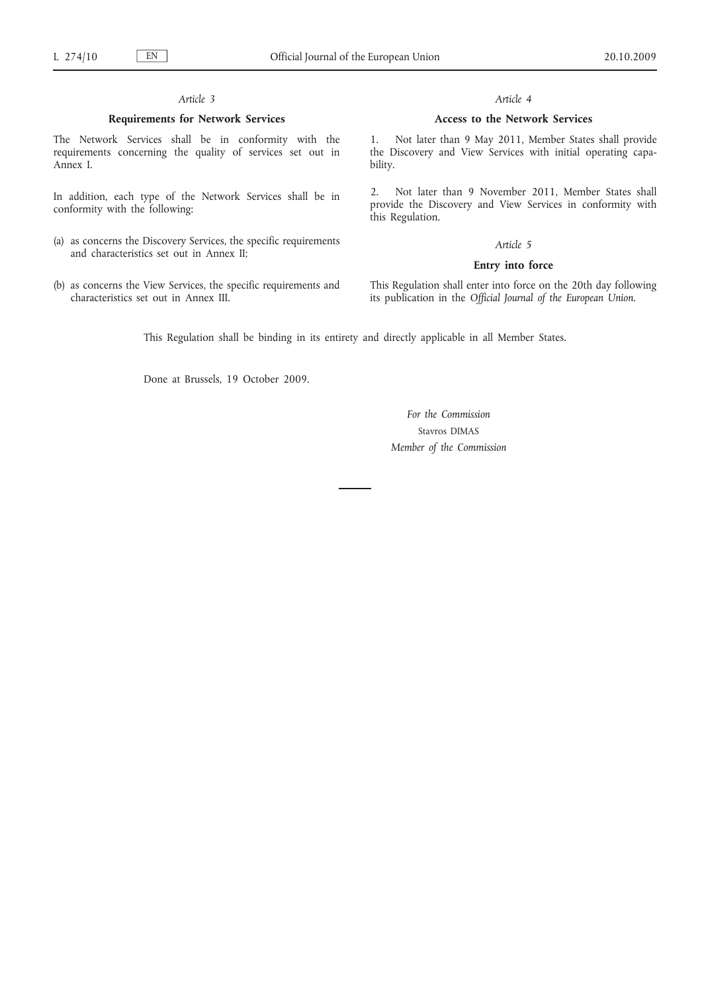# *Article 3*

### **Requirements for Network Services**

The Network Services shall be in conformity with the requirements concerning the quality of services set out in Annex I.

In addition, each type of the Network Services shall be in conformity with the following:

- (a) as concerns the Discovery Services, the specific requirements and characteristics set out in Annex II;
- (b) as concerns the View Services, the specific requirements and characteristics set out in Annex III.

### *Article 4*

### **Access to the Network Services**

1. Not later than 9 May 2011, Member States shall provide the Discovery and View Services with initial operating capability.

2. Not later than 9 November 2011, Member States shall provide the Discovery and View Services in conformity with this Regulation.

#### *Article 5*

## **Entry into force**

This Regulation shall enter into force on the 20th day following its publication in the *Official Journal of the European Union*.

This Regulation shall be binding in its entirety and directly applicable in all Member States.

Done at Brussels, 19 October 2009.

*For the Commission* Stavros DIMAS *Member of the Commission*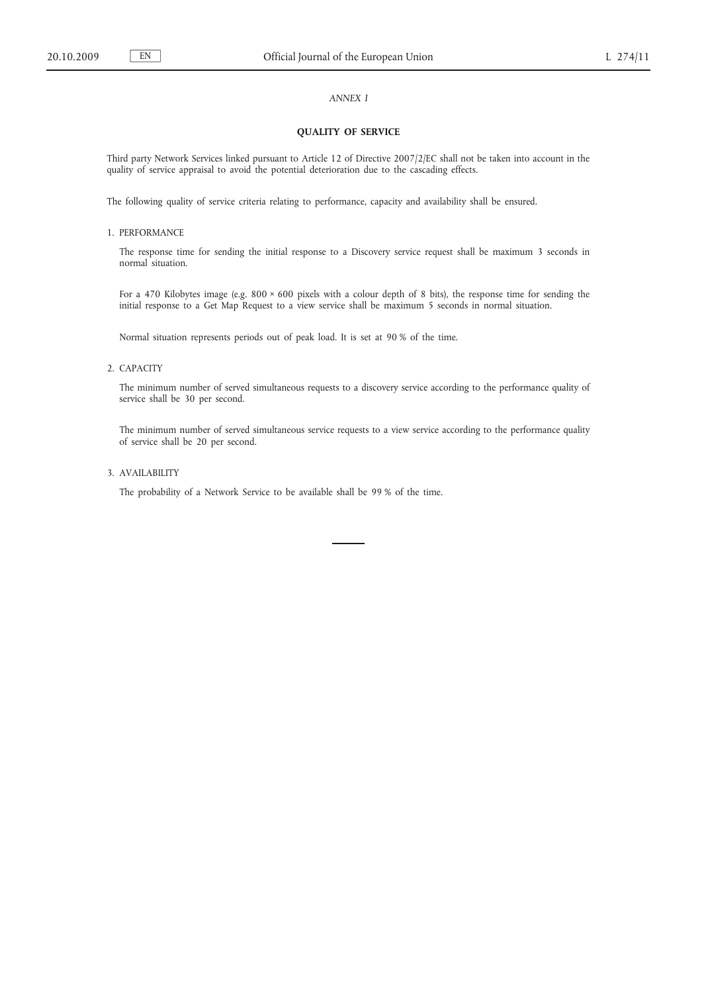### *ANNEX I*

### **QUALITY OF SERVICE**

Third party Network Services linked pursuant to Article 12 of Directive 2007/2/EC shall not be taken into account in the quality of service appraisal to avoid the potential deterioration due to the cascading effects.

The following quality of service criteria relating to performance, capacity and availability shall be ensured.

#### 1. PERFORMANCE

The response time for sending the initial response to a Discovery service request shall be maximum 3 seconds in normal situation.

For a 470 Kilobytes image (e.g.  $800 \times 600$  pixels with a colour depth of 8 bits), the response time for sending the initial response to a Get Map Request to a view service shall be maximum 5 seconds in normal situation.

Normal situation represents periods out of peak load. It is set at 90 % of the time.

# 2. CAPACITY

The minimum number of served simultaneous requests to a discovery service according to the performance quality of service shall be 30 per second.

The minimum number of served simultaneous service requests to a view service according to the performance quality of service shall be 20 per second.

### 3. AVAILABILITY

The probability of a Network Service to be available shall be 99 % of the time.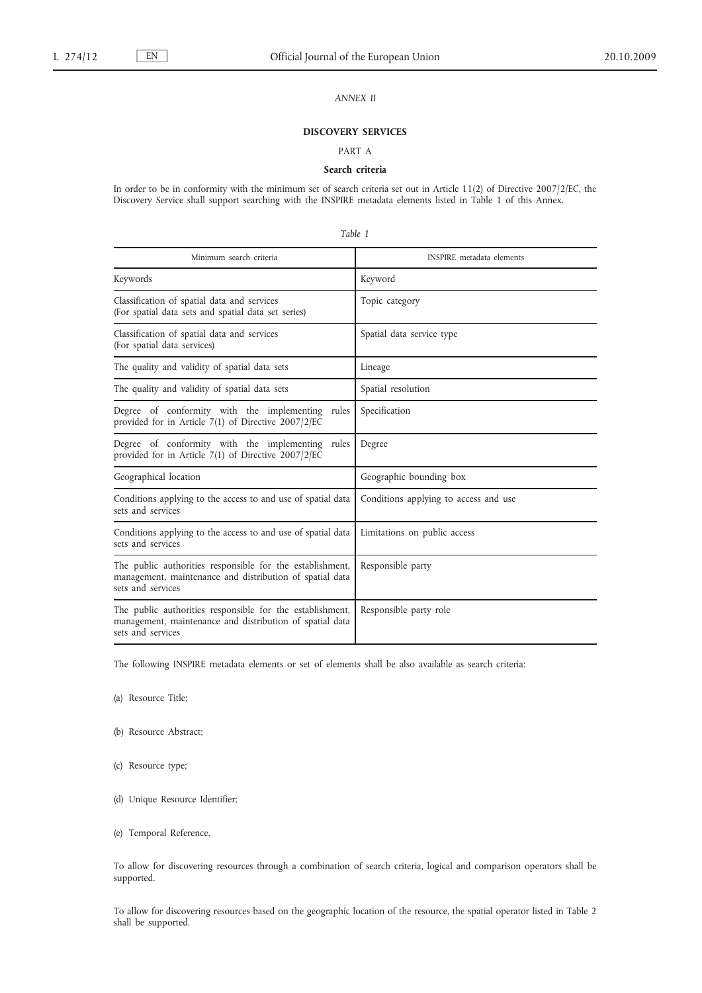# *ANNEX II*

# **DISCOVERY SERVICES**

# PART A

### **Search criteria**

In order to be in conformity with the minimum set of search criteria set out in Article 11(2) of Directive 2007/2/EC, the Discovery Service shall support searching with the INSPIRE metadata elements listed in Table 1 of this Annex.

| Table 1                                                                                                                                    |                                       |
|--------------------------------------------------------------------------------------------------------------------------------------------|---------------------------------------|
| Minimum search criteria                                                                                                                    | <b>INSPIRE</b> metadata elements      |
| Keywords                                                                                                                                   | Keyword                               |
| Classification of spatial data and services<br>(For spatial data sets and spatial data set series)                                         | Topic category                        |
| Classification of spatial data and services<br>(For spatial data services)                                                                 | Spatial data service type             |
| The quality and validity of spatial data sets                                                                                              | Lineage                               |
| The quality and validity of spatial data sets                                                                                              | Spatial resolution                    |
| Degree of conformity with the implementing rules<br>provided for in Article 7(1) of Directive 2007/2/EC                                    | Specification                         |
| Degree of conformity with the implementing rules<br>provided for in Article 7(1) of Directive 2007/2/EC                                    | Degree                                |
| Geographical location                                                                                                                      | Geographic bounding box               |
| Conditions applying to the access to and use of spatial data<br>sets and services                                                          | Conditions applying to access and use |
| Conditions applying to the access to and use of spatial data<br>sets and services                                                          | Limitations on public access          |
| The public authorities responsible for the establishment,<br>management, maintenance and distribution of spatial data<br>sets and services | Responsible party                     |
| The public authorities responsible for the establishment,<br>management, maintenance and distribution of spatial data<br>sets and services | Responsible party role                |

The following INSPIRE metadata elements or set of elements shall be also available as search criteria:

(a) Resource Title;

- (b) Resource Abstract;
- (c) Resource type;
- (d) Unique Resource Identifier;
- (e) Temporal Reference.

To allow for discovering resources through a combination of search criteria, logical and comparison operators shall be supported.

To allow for discovering resources based on the geographic location of the resource, the spatial operator listed in Table 2 shall be supported.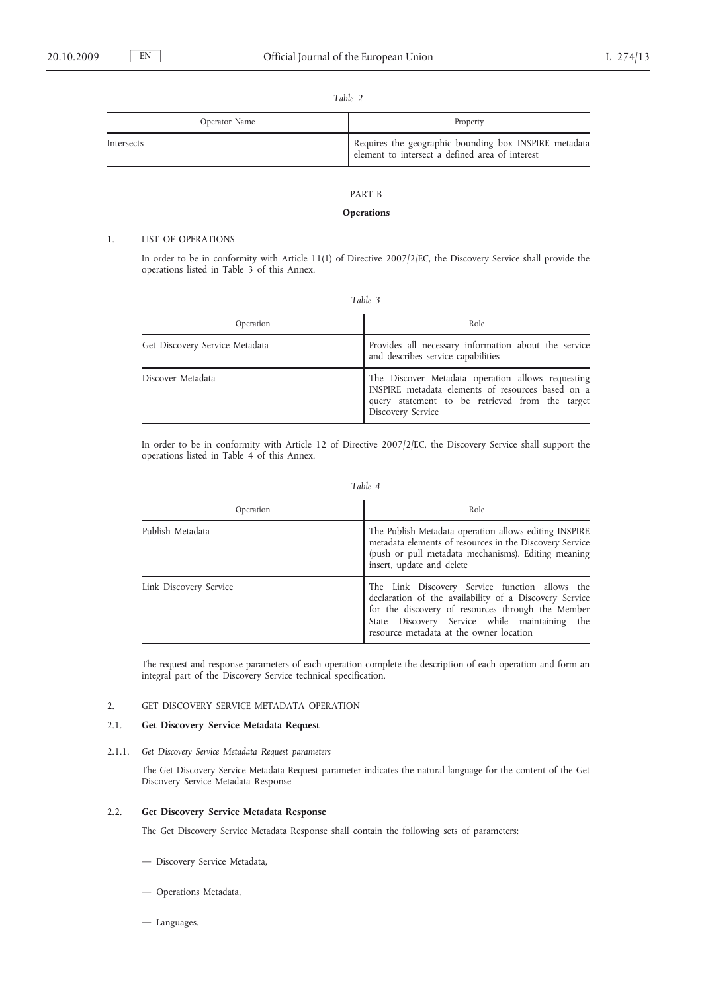| rame z        |                                                                                                          |
|---------------|----------------------------------------------------------------------------------------------------------|
| Operator Name | Property                                                                                                 |
| Intersects    | Requires the geographic bounding box INSPIRE metadata<br>element to intersect a defined area of interest |

# PART B

# **Operations**

# 1. LIST OF OPERATIONS

In order to be in conformity with Article 11(1) of Directive 2007/2/EC, the Discovery Service shall provide the operations listed in Table 3 of this Annex.

| Operation                      | Role                                                                                                                                                                           |
|--------------------------------|--------------------------------------------------------------------------------------------------------------------------------------------------------------------------------|
| Get Discovery Service Metadata | Provides all necessary information about the service<br>and describes service capabilities                                                                                     |
| Discover Metadata              | The Discover Metadata operation allows requesting<br>INSPIRE metadata elements of resources based on a<br>query statement to be retrieved from the target<br>Discovery Service |

In order to be in conformity with Article 12 of Directive 2007/2/EC, the Discovery Service shall support the operations listed in Table 4 of this Annex.

|--|--|

| Operation              | Role                                                                                                                                                                                                                                                      |
|------------------------|-----------------------------------------------------------------------------------------------------------------------------------------------------------------------------------------------------------------------------------------------------------|
| Publish Metadata       | The Publish Metadata operation allows editing INSPIRE<br>metadata elements of resources in the Discovery Service<br>(push or pull metadata mechanisms). Editing meaning<br>insert, update and delete                                                      |
| Link Discovery Service | The Link Discovery Service function allows the<br>declaration of the availability of a Discovery Service<br>for the discovery of resources through the Member<br>State Discovery Service while maintaining the<br>resource metadata at the owner location |

The request and response parameters of each operation complete the description of each operation and form an integral part of the Discovery Service technical specification.

## 2. GET DISCOVERY SERVICE METADATA OPERATION

# 2.1. **Get Discovery Service Metadata Request**

2.1.1. *Get Discovery Service Metadata Request parameters*

The Get Discovery Service Metadata Request parameter indicates the natural language for the content of the Get Discovery Service Metadata Response

## 2.2. **Get Discovery Service Metadata Response**

The Get Discovery Service Metadata Response shall contain the following sets of parameters:

- Discovery Service Metadata,
- Operations Metadata,
- Languages.

*Table 2*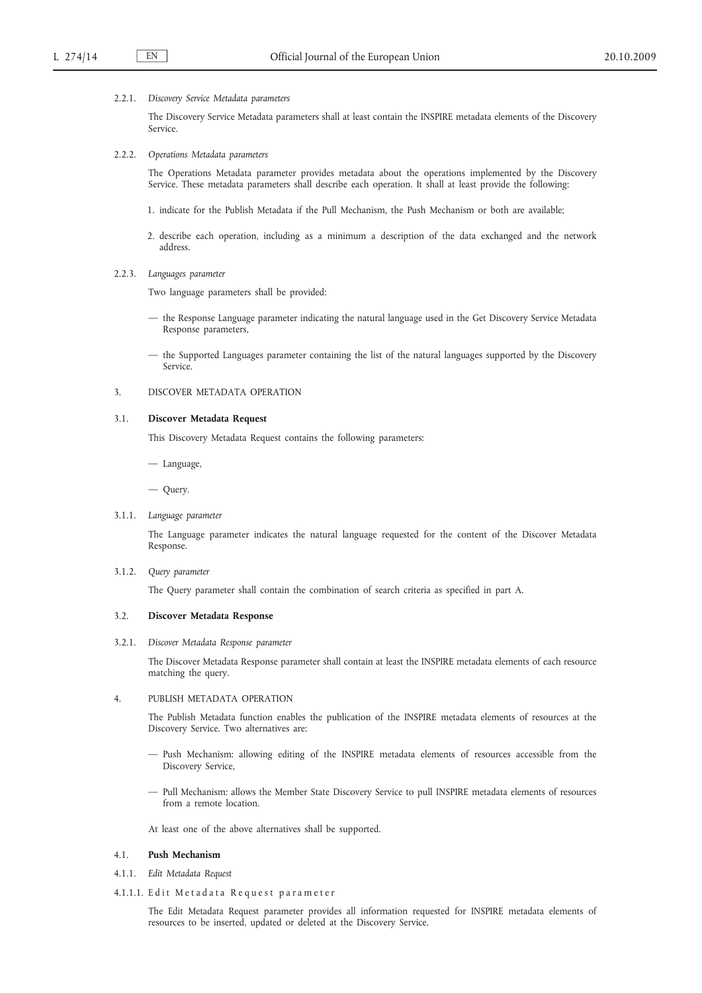#### 2.2.1. *Discovery Service Metadata parameters*

The Discovery Service Metadata parameters shall at least contain the INSPIRE metadata elements of the Discovery Service.

2.2.2. *Operations Metadata parameters*

The Operations Metadata parameter provides metadata about the operations implemented by the Discovery Service. These metadata parameters shall describe each operation. It shall at least provide the following:

- 1. indicate for the Publish Metadata if the Pull Mechanism, the Push Mechanism or both are available;
- 2. describe each operation, including as a minimum a description of the data exchanged and the network address.
- 2.2.3. *Languages parameter*

Two language parameters shall be provided:

- the Response Language parameter indicating the natural language used in the Get Discovery Service Metadata Response parameters,
- the Supported Languages parameter containing the list of the natural languages supported by the Discovery Service.
- 3. DISCOVER METADATA OPERATION

#### 3.1. **Discover Metadata Request**

This Discovery Metadata Request contains the following parameters:

— Language,

— Query.

3.1.1. *Language parameter*

The Language parameter indicates the natural language requested for the content of the Discover Metadata Response.

#### 3.1.2. *Query parameter*

The Query parameter shall contain the combination of search criteria as specified in part A.

#### 3.2. **Discover Metadata Response**

#### 3.2.1. *Discover Metadata Response parameter*

The Discover Metadata Response parameter shall contain at least the INSPIRE metadata elements of each resource matching the query.

### 4. PUBLISH METADATA OPERATION

The Publish Metadata function enables the publication of the INSPIRE metadata elements of resources at the Discovery Service. Two alternatives are:

- Push Mechanism: allowing editing of the INSPIRE metadata elements of resources accessible from the Discovery Service,
- Pull Mechanism: allows the Member State Discovery Service to pull INSPIRE metadata elements of resources from a remote location.

At least one of the above alternatives shall be supported.

### 4.1. **Push Mechanism**

- 4.1.1. *Edit Metadata Request*
- 4.1.1.1. Edit Metadata Request parameter

The Edit Metadata Request parameter provides all information requested for INSPIRE metadata elements of resources to be inserted, updated or deleted at the Discovery Service.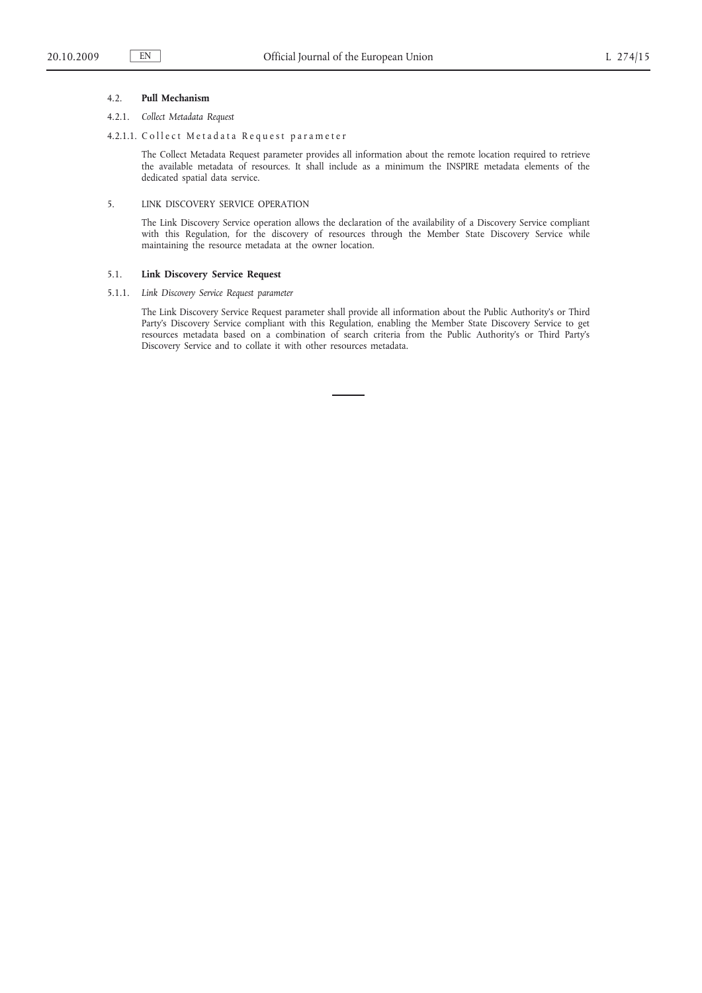#### 4.2. **Pull Mechanism**

## 4.2.1. *Collect Metadata Request*

## 4.2.1.1. Collect Metadata Request parameter

The Collect Metadata Request parameter provides all information about the remote location required to retrieve the available metadata of resources. It shall include as a minimum the INSPIRE metadata elements of the dedicated spatial data service.

# 5. LINK DISCOVERY SERVICE OPERATION

The Link Discovery Service operation allows the declaration of the availability of a Discovery Service compliant with this Regulation, for the discovery of resources through the Member State Discovery Service while maintaining the resource metadata at the owner location.

#### 5.1. **Link Discovery Service Request**

5.1.1. *Link Discovery Service Request parameter*

The Link Discovery Service Request parameter shall provide all information about the Public Authority's or Third Party's Discovery Service compliant with this Regulation, enabling the Member State Discovery Service to get resources metadata based on a combination of search criteria from the Public Authority's or Third Party's Discovery Service and to collate it with other resources metadata.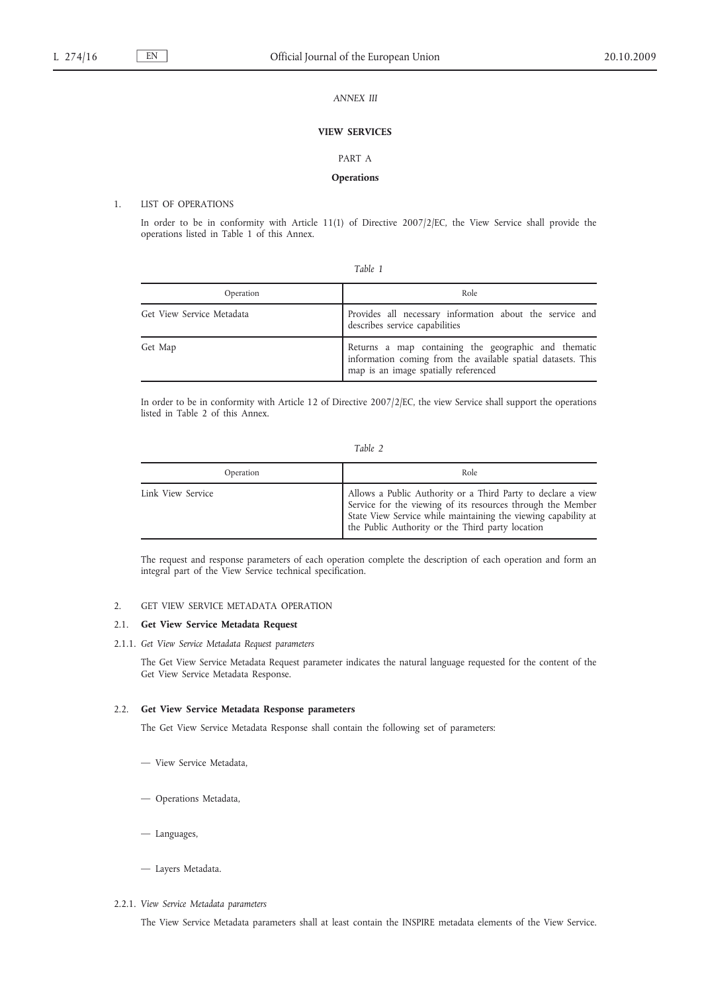# *ANNEX III*

# **VIEW SERVICES**

#### PART A

# **Operations**

# 1. LIST OF OPERATIONS

In order to be in conformity with Article 11(1) of Directive 2007/2/EC, the View Service shall provide the operations listed in Table 1 of this Annex.

|--|--|--|

| Operation                 | Role                                                                                                                                                         |
|---------------------------|--------------------------------------------------------------------------------------------------------------------------------------------------------------|
| Get View Service Metadata | Provides all necessary information about the service and<br>describes service capabilities                                                                   |
| Get Map                   | Returns a map containing the geographic and thematic<br>information coming from the available spatial datasets. This<br>map is an image spatially referenced |

In order to be in conformity with Article 12 of Directive 2007/2/EC, the view Service shall support the operations listed in Table 2 of this Annex.

| Operation         | Role                                                                                                                                                                                                                                              |
|-------------------|---------------------------------------------------------------------------------------------------------------------------------------------------------------------------------------------------------------------------------------------------|
| Link View Service | Allows a Public Authority or a Third Party to declare a view<br>Service for the viewing of its resources through the Member<br>State View Service while maintaining the viewing capability at<br>the Public Authority or the Third party location |

The request and response parameters of each operation complete the description of each operation and form an integral part of the View Service technical specification.

#### 2. GET VIEW SERVICE METADATA OPERATION

# 2.1. **Get View Service Metadata Request**

2.1.1. *Get View Service Metadata Request parameters*

The Get View Service Metadata Request parameter indicates the natural language requested for the content of the Get View Service Metadata Response.

# 2.2. **Get View Service Metadata Response parameters**

The Get View Service Metadata Response shall contain the following set of parameters:

- View Service Metadata,
- Operations Metadata,
- Languages,
- Layers Metadata.
- 2.2.1. *View Service Metadata parameters*

The View Service Metadata parameters shall at least contain the INSPIRE metadata elements of the View Service.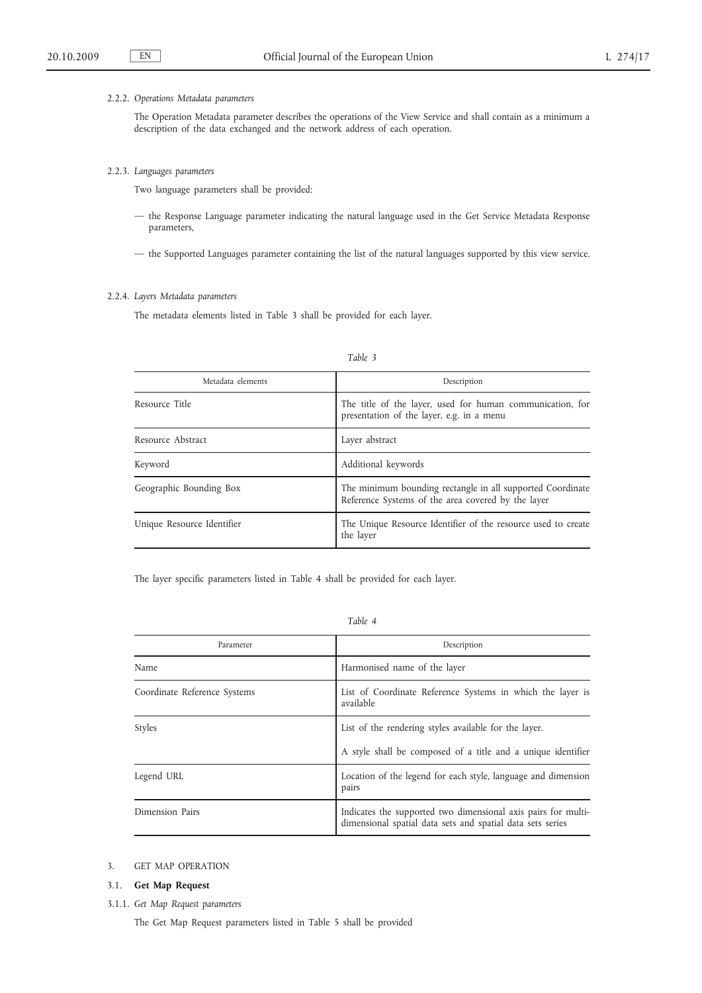### 2.2.2. *Operations Metadata parameters*

The Operation Metadata parameter describes the operations of the View Service and shall contain as a minimum a description of the data exchanged and the network address of each operation.

#### 2.2.3. *Languages parameters*

Two language parameters shall be provided:

- the Response Language parameter indicating the natural language used in the Get Service Metadata Response parameters,
- the Supported Languages parameter containing the list of the natural languages supported by this view service.

## 2.2.4. *Layers Metadata parameters*

The metadata elements listed in Table 3 shall be provided for each layer.

| Metadata elements          | Description                                                                                                      |
|----------------------------|------------------------------------------------------------------------------------------------------------------|
| Resource Title             | The title of the layer, used for human communication, for<br>presentation of the layer, e.g. in a menu           |
| Resource Abstract          | Layer abstract                                                                                                   |
| Keyword                    | Additional keywords                                                                                              |
| Geographic Bounding Box    | The minimum bounding rectangle in all supported Coordinate<br>Reference Systems of the area covered by the layer |
| Unique Resource Identifier | The Unique Resource Identifier of the resource used to create<br>the layer                                       |

*Table 3*

The layer specific parameters listed in Table 4 shall be provided for each layer.

*Table 4*

| Parameter                    | Description                                                                                                                 |
|------------------------------|-----------------------------------------------------------------------------------------------------------------------------|
| Name                         | Harmonised name of the layer                                                                                                |
| Coordinate Reference Systems | List of Coordinate Reference Systems in which the layer is<br>available                                                     |
| Styles                       | List of the rendering styles available for the layer.                                                                       |
|                              | A style shall be composed of a title and a unique identifier                                                                |
| Legend URL                   | Location of the legend for each style, language and dimension<br>pairs                                                      |
| Dimension Pairs              | Indicates the supported two dimensional axis pairs for multi-<br>dimensional spatial data sets and spatial data sets series |

# 3. GET MAP OPERATION

- 3.1. **Get Map Request**
- 3.1.1. *Get Map Request parameters*

The Get Map Request parameters listed in Table 5 shall be provided